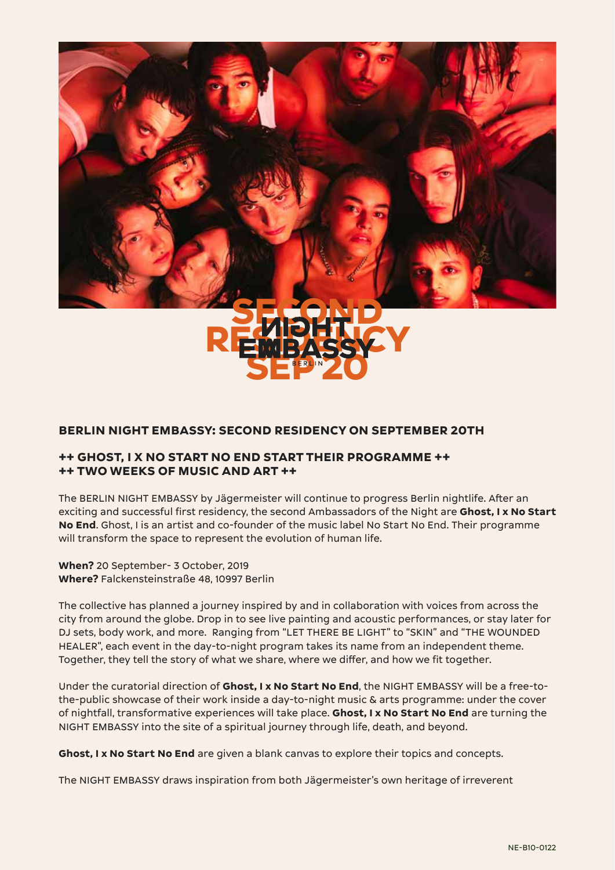

## **BERLIN NIGHT EMBASSY: SECOND RESIDENCY ON SEPTEMBER 20TH**

## **++ GHOST, I X NO START NO END START THEIR PROGRAMME ++ ++ TWO WEEKS OF MUSIC AND ART ++**

The BERLIN NIGHT EMBASSY by Jägermeister will continue to progress Berlin nightlife. After an exciting and successful first residency, the second Ambassadors of the Night are **Ghost, I x No Start No End**. Ghost, I is an artist and co-founder of the music label No Start No End. Their programme will transform the space to represent the evolution of human life.

**When?** 20 September- 3 October, 2019 **Where?** Falckensteinstraße 48, 10997 Berlin

The collective has planned a journey inspired by and in collaboration with voices from across the city from around the globe. Drop in to see live painting and acoustic performances, or stay later for DJ sets, body work, and more. Ranging from "LET THERE BE LIGHT" to "SKIN" and "THE WOUNDED HEALER", each event in the day-to-night program takes its name from an independent theme. Together, they tell the story of what we share, where we differ, and how we fit together.

Under the curatorial direction of **Ghost, I x No Start No End**, the NIGHT EMBASSY will be a free-tothe-public showcase of their work inside a day-to-night music & arts programme: under the cover of nightfall, transformative experiences will take place. **Ghost, I x No Start No End** are turning the NIGHT EMBASSY into the site of a spiritual journey through life, death, and beyond.

**Ghost, I x No Start No End** are given a blank canvas to explore their topics and concepts.

The NIGHT EMBASSY draws inspiration from both Jägermeister's own heritage of irreverent